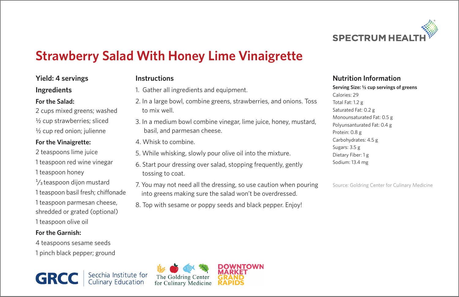

# **Strawberry Salad With Honey Lime Vinaigrette**

# **Yield: 4 servings**

#### **Instructions**

**Ingredients** 

# **For the Salad:**

2 cups mixed greens; washed ½ cup strawberries; sliced ½ cup red onion; julienne

# **For the Vinaigrette:**

2 teaspoons lime juice 1 teaspoon red wine vinegar 1 teaspoon honey  $\frac{1}{3}$ teaspoon dijon mustard 1 teaspoon basil fresh; chiffonade 1 teaspoon parmesan cheese, shredded or grated (optional) 1 teaspoon olive oil

# **For the Garnish:**

4 teaspoons sesame seeds 1 pinch black pepper; ground

**GRC** 



- 2. In a large bowl, combine greens, strawberries, and onions. Toss to mix well.
- 3. In a medium bowl combine vinegar, lime juice, honey, mustard, basil, and parmesan cheese.
- 4. Whisk to combine.
- 5. While whisking, slowly pour olive oil into the mixture.
- 6. Start pour dressing over salad, stopping frequently, gently tossing to coat.
- 7. You may not need all the dressing, so use caution when pouring into greens making sure the salad won't be overdressed.
- 8. Top with sesame or poppy seeds and black pepper. Enjoy!

# **Nutrition Information**

#### **Serving Size: ½ cup servings of greens** Calories: 29 Total Fat: 1.2 g Saturated Fat: 0.2 g Monounsaturated Fat: 0.5 g Polyunsanturated Fat: 0.4 g Protein: 0.8 g Carbohydrates: 4.5 g Sugars: 3.5 g Dietary Fiber: 1 g Sodium: 13.4 mg

Source: Goldring Center for Culinary Medicine